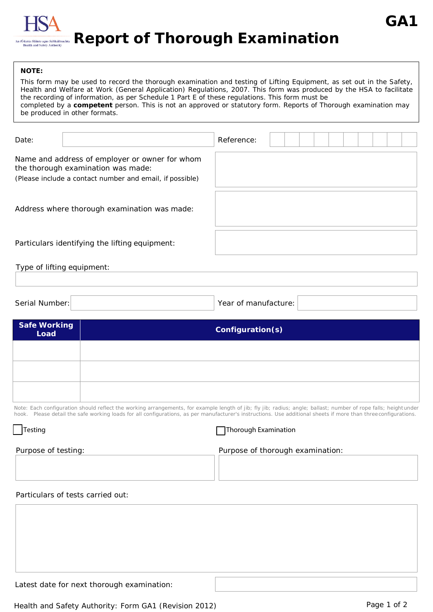

## **NOTE:**

This form may be used to record the thorough examination and testing of Lifting Equipment, as set out in the Safety, Health and Welfare at Work (General Application) Regulations, 2007. This form was produced by the HSA to facilitate the recording of information, as per Schedule 1 Part E of these regulations. This form must be completed by a **competent** person. This is not an approved or statutory form. Reports of Thorough examination may be produced in other formats.

| Date:                                                                                                                                            | Reference:           |
|--------------------------------------------------------------------------------------------------------------------------------------------------|----------------------|
| Name and address of employer or owner for whom<br>the thorough examination was made:<br>(Please include a contact number and email, if possible) |                      |
| Address where thorough examination was made:                                                                                                     |                      |
| Particulars identifying the lifting equipment:                                                                                                   |                      |
| Type of lifting equipment:                                                                                                                       |                      |
| Serial Number:                                                                                                                                   | Year of manufacture: |

| Safe Working<br>Load | Configuration(s) |
|----------------------|------------------|
|                      |                  |
|                      |                  |
|                      |                  |

Note: Each configuration should reflect the working arrangements, for example length of jib; fly jib; radius; angle; ballast; number of rope falls; heightunder hook. Please detail the safe working loads for all configurations, as per manufacturer's instructions. Use additional sheets if more than threeconfigurations.

| <b>Testing</b>      | Thorough Examination             |
|---------------------|----------------------------------|
| Purpose of testing: | Purpose of thorough examination: |

## Particulars of tests carried out:

Latest date for next thorough examination: